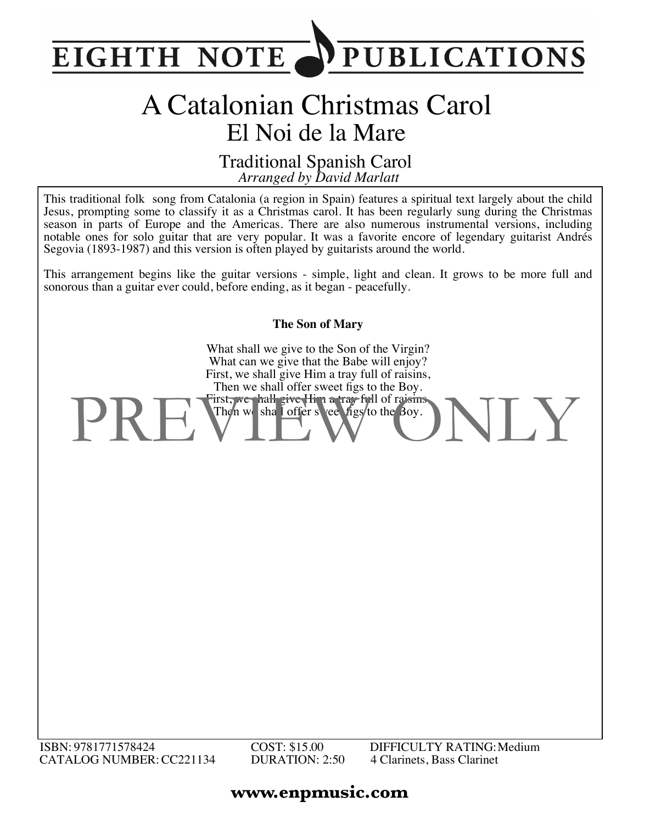

## A Catalonian Christmas Carol El Noi de la Mare

## *Arranged by David Marlatt* Traditional Spanish Carol

This traditional folk song from Catalonia (a region in Spain) features a spiritual text largely about the child Jesus, prompting some to classify it as a Christmas carol. It has been regularly sung during the Christmas season in parts of Europe and the Americas. There are also numerous instrumental versions, including notable ones for solo guitar that are very popular. It was a favorite encore of legendary guitarist Andrés Segovia (1893-1987) and this version is often played by guitarists around the world.

This arrangement begins like the guitar versions - simple, light and clean. It grows to be more full and sonorous than a guitar ever could, before ending, as it began - peacefully.

## **The Son of Mary**

What shall we give to the Son of the Virgin? What can we give that the Babe will enjoy? First, we shall give Him a tray full of raisins, Then we shall offer sweet figs to the Boy. First, we shall give Him a tray full of raisins,<br>Then we shall offer see thes/to the Boy. Then we shall give Him a ray full of raisins

## **www.enpmusic.com**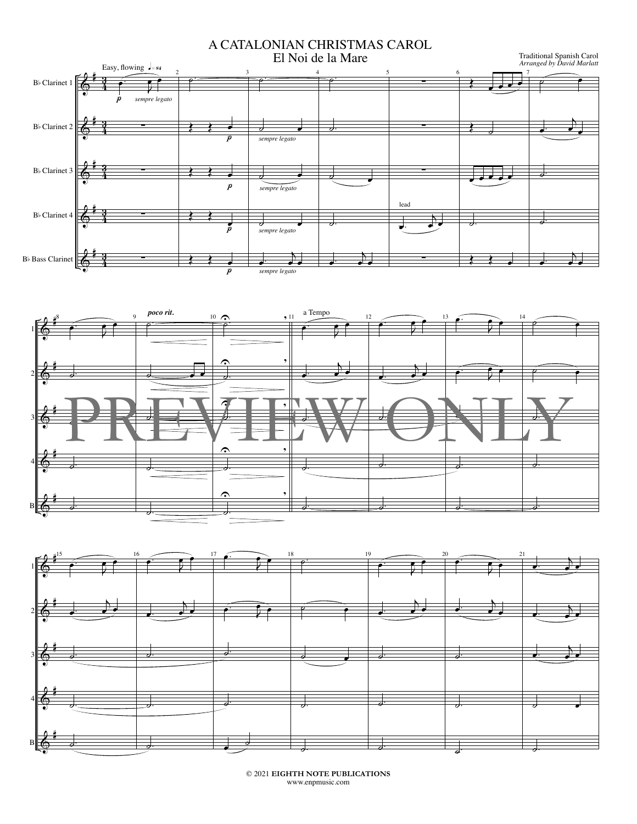





© 2021 **EIGHTH NOTE PUBLICATIONS** www.enpmusic.com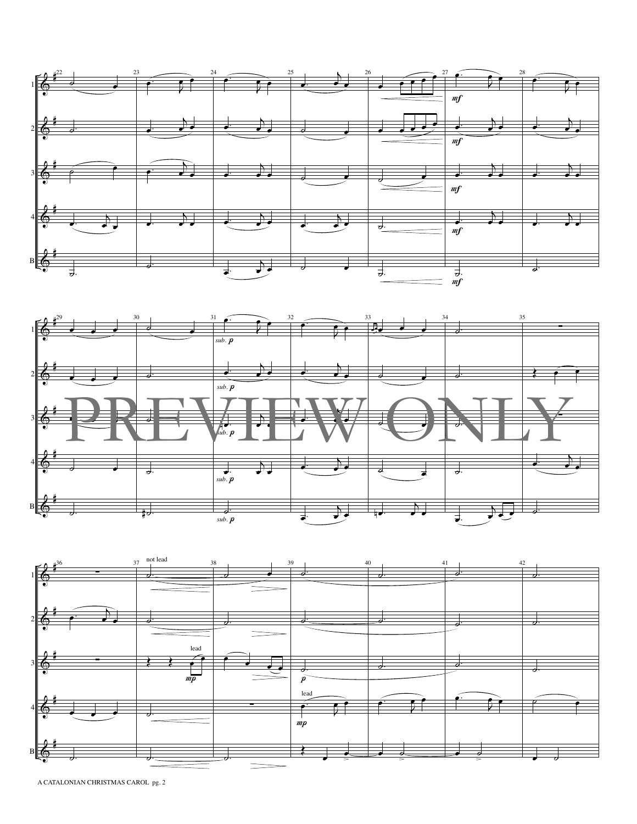





A CATALONIAN CHRISTMAS CAROL pg. 2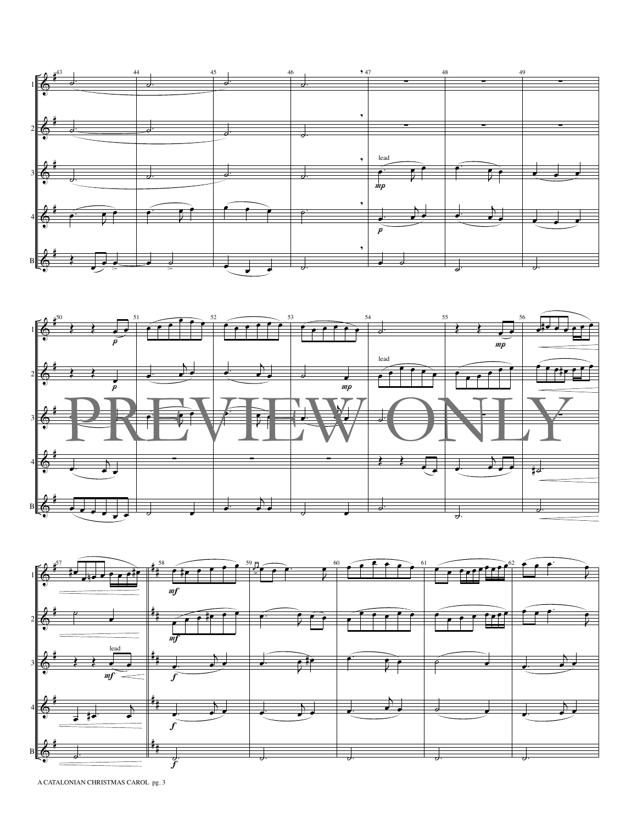





A CATALONIAN CHRISTMAS CAROL pg. 3